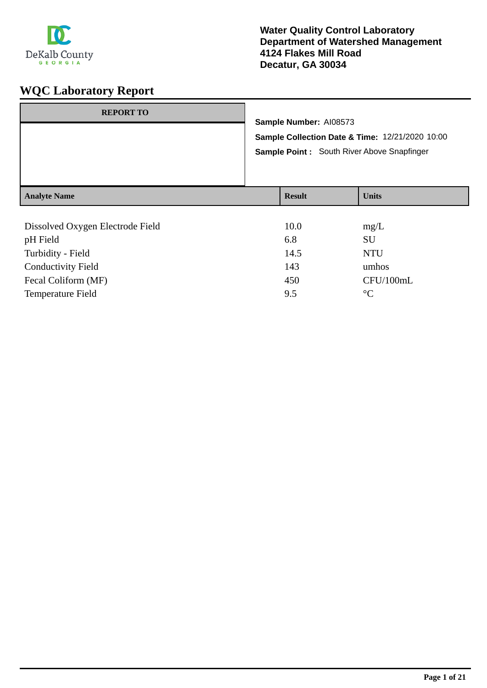

| <b>REPORT TO</b>                 | Sample Number: AI08573<br>Sample Collection Date & Time: 12/21/2020 10:00<br>Sample Point: South River Above Snapfinger |              |
|----------------------------------|-------------------------------------------------------------------------------------------------------------------------|--------------|
| <b>Analyte Name</b>              | <b>Result</b>                                                                                                           | <b>Units</b> |
| Dissolved Oxygen Electrode Field | 10.0                                                                                                                    | mg/L         |

| pH Field                  | 6.8  | <b>SU</b>       |
|---------------------------|------|-----------------|
| Turbidity - Field         | 14.5 | <b>NTU</b>      |
| <b>Conductivity Field</b> | 143  | umhos           |
| Fecal Coliform (MF)       | 450  | CFU/100mL       |
| <b>Temperature Field</b>  | 9.5  | $\rm ^{\circ}C$ |
|                           |      |                 |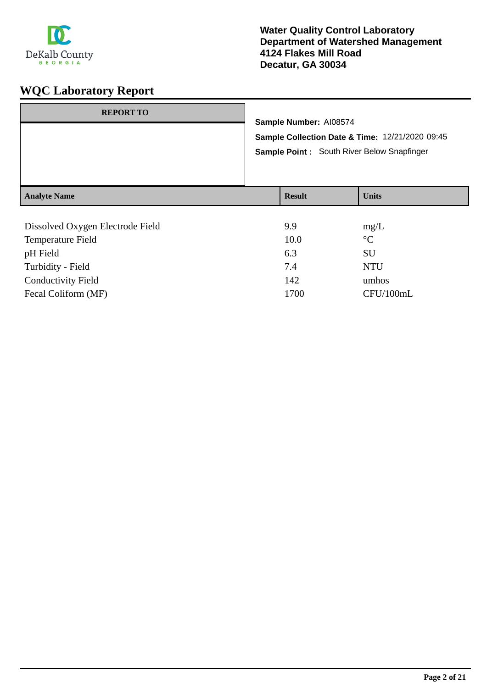

| <b>REPORT TO</b>    | Sample Number: AI08574<br>Sample Collection Date & Time: 12/21/2020 09:45<br>Sample Point: South River Below Snapfinger |               |              |
|---------------------|-------------------------------------------------------------------------------------------------------------------------|---------------|--------------|
| <b>Analyte Name</b> |                                                                                                                         | <b>Result</b> | <b>Units</b> |
|                     |                                                                                                                         |               |              |

| Dissolved Oxygen Electrode Field | 9.9  | mg/L            |
|----------------------------------|------|-----------------|
| Temperature Field                | 10.0 | $\rm ^{\circ}C$ |
| pH Field                         | 6.3  | SU              |
| Turbidity - Field                | 7.4  | <b>NTU</b>      |
| <b>Conductivity Field</b>        | 142  | umhos           |
| Fecal Coliform (MF)              | 1700 | CFU/100mL       |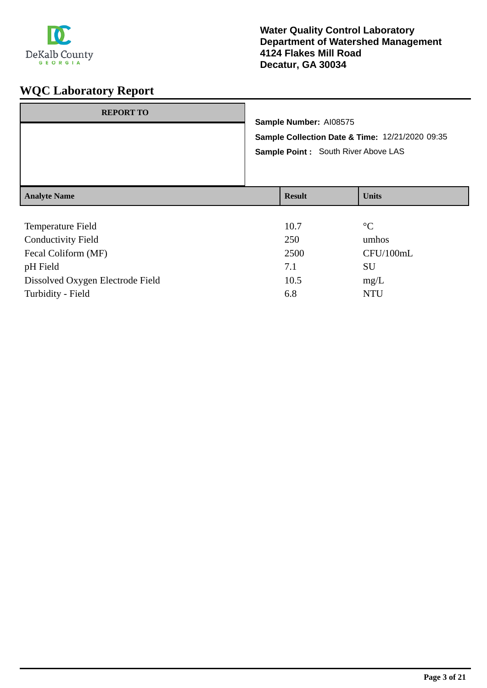

| <b>REPORT TO</b>    | Sample Number: AI08575<br>Sample Collection Date & Time: 12/21/2020 09:35<br>Sample Point : South River Above LAS |               |                 |
|---------------------|-------------------------------------------------------------------------------------------------------------------|---------------|-----------------|
|                     |                                                                                                                   |               |                 |
| <b>Analyte Name</b> |                                                                                                                   | <b>Result</b> | <b>Units</b>    |
| Temperature Field   |                                                                                                                   | 10.7          | $\rm ^{\circ}C$ |
| Conductivity Eigld  |                                                                                                                   | 250           | umboc           |

| <b>Conductivity Field</b>        | 250  | umhos     |
|----------------------------------|------|-----------|
| Fecal Coliform (MF)              | 2500 | CFU/100mL |
| pH Field                         | 7.1  | SU        |
| Dissolved Oxygen Electrode Field | 10.5 | mg/L      |
| Turbidity - Field                | 6.8  | NTH       |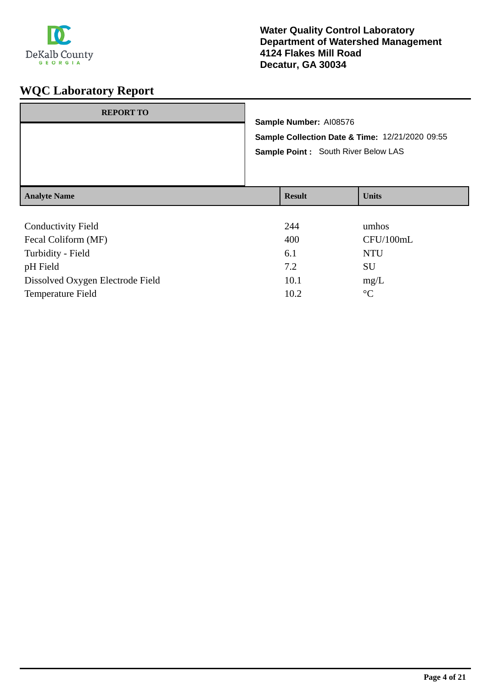

| <b>REPORT TO</b>                       | Sample Number: AI08576<br>Sample Collection Date & Time: 12/21/2020 09:55<br>Sample Point: South River Below LAS |                     |              |
|----------------------------------------|------------------------------------------------------------------------------------------------------------------|---------------------|--------------|
| <b>Analyte Name</b>                    |                                                                                                                  | <b>Result</b>       | <b>Units</b> |
| $\alpha$ 1 $\beta$ $\beta$ $\gamma$ 11 |                                                                                                                  | $\bigcap$ $\bigcap$ |              |

| <b>Conductivity Field</b>        | 244  | umhos           |
|----------------------------------|------|-----------------|
| Fecal Coliform (MF)              | 400  | CFU/100mL       |
| Turbidity - Field                | 6.1  | <b>NTU</b>      |
| pH Field                         | 7.2  | <b>SU</b>       |
| Dissolved Oxygen Electrode Field | 10.1 | mg/L            |
| Temperature Field                | 10.2 | $\rm ^{\circ}C$ |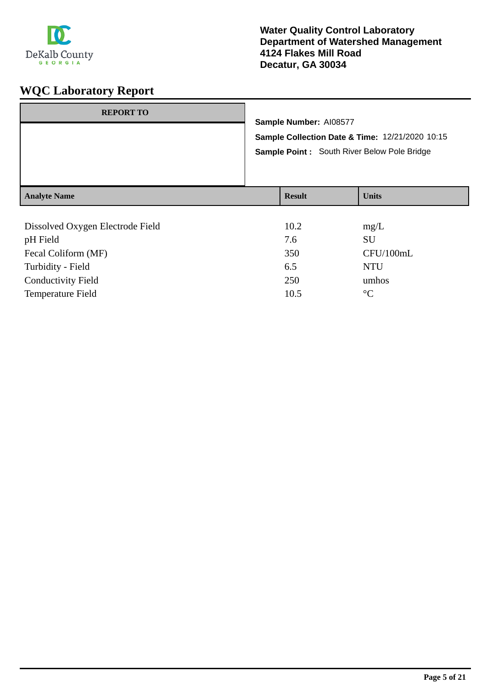

| <b>Analyte Name</b> |                                                                                                                           | <b>Result</b> | <b>Units</b> |
|---------------------|---------------------------------------------------------------------------------------------------------------------------|---------------|--------------|
|                     | Sample Number: AI08577<br>Sample Collection Date & Time: 12/21/2020 10:15<br>Sample Point : South River Below Pole Bridge |               |              |
| <b>REPORT TO</b>    |                                                                                                                           |               |              |

| Dissolved Oxygen Electrode Field | 10.2 | mg/L            |
|----------------------------------|------|-----------------|
| pH Field                         | 7.6  | <b>SU</b>       |
| Fecal Coliform (MF)              | 350  | CFU/100mL       |
| Turbidity - Field                | 6.5  | <b>NTU</b>      |
| <b>Conductivity Field</b>        | 250  | umhos           |
| <b>Temperature Field</b>         | 10.5 | $\rm ^{\circ}C$ |
|                                  |      |                 |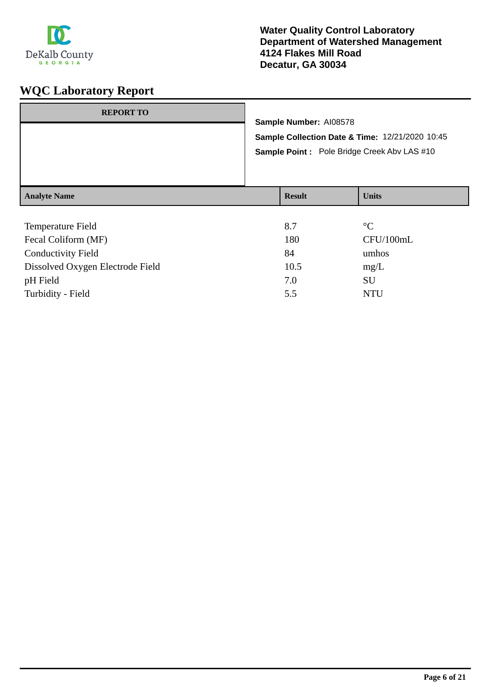

| <b>REPORT TO</b>    | Sample Number: AI08578 | Sample Collection Date & Time: 12/21/2020 10:45<br><b>Sample Point:</b> Pole Bridge Creek Abv LAS #10 |
|---------------------|------------------------|-------------------------------------------------------------------------------------------------------|
| <b>Analyte Name</b> | <b>Result</b>          | <b>Units</b>                                                                                          |
| Temperature Field   | 8.7                    | $\rm ^{\circ}C$                                                                                       |

| 180  | CFU/100mL  |
|------|------------|
| 84   | umhos      |
| 10.5 | mg/L       |
| 7.0  | SU         |
| 5.5  | <b>NTU</b> |
|      |            |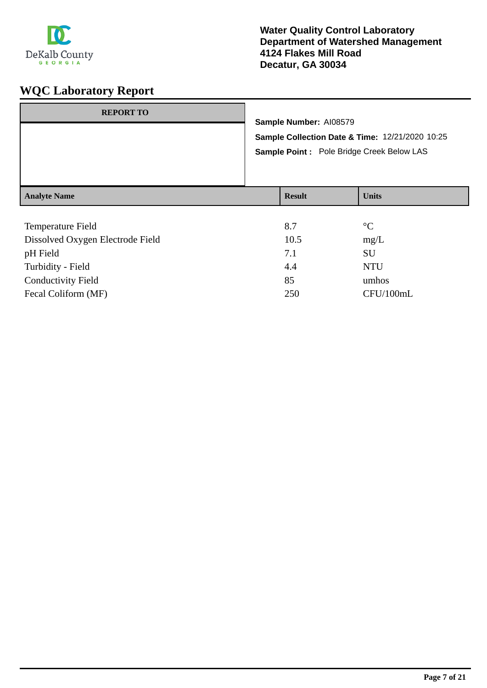

| <b>REPORT TO</b>    | Sample Number: AI08579 | Sample Collection Date & Time: 12/21/2020 10:25<br>Sample Point : Pole Bridge Creek Below LAS |
|---------------------|------------------------|-----------------------------------------------------------------------------------------------|
| <b>Analyte Name</b> | <b>Result</b>          | <b>Units</b>                                                                                  |
|                     |                        |                                                                                               |

| Temperature Field                | 8.7  | $\rm ^{\circ}C$ |
|----------------------------------|------|-----------------|
| Dissolved Oxygen Electrode Field | 10.5 | mg/L            |
| pH Field                         | 7.1  | <b>SU</b>       |
| Turbidity - Field                | 4.4  | <b>NTU</b>      |
| <b>Conductivity Field</b>        | 85   | umhos           |
| Fecal Coliform (MF)              | 250  | CFU/100mL       |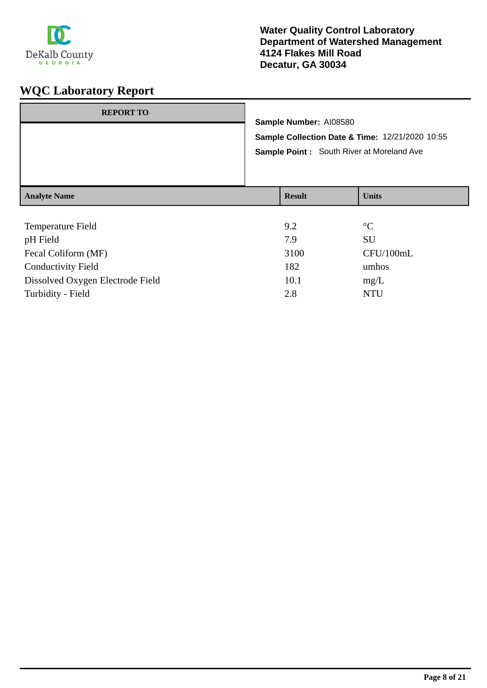

| <b>REPORT TO</b>    | Sample Number: AI08580<br>Sample Point: South River at Moreland Ave | Sample Collection Date & Time: 12/21/2020 10:55 |
|---------------------|---------------------------------------------------------------------|-------------------------------------------------|
| <b>Analyte Name</b> | <b>Result</b>                                                       | <b>Units</b>                                    |
| Temperature Field   | 9.2                                                                 | $\rm ^{\circ}C$                                 |

| pH Field                         | 7.9  | SU         |
|----------------------------------|------|------------|
| Fecal Coliform (MF)              | 3100 | CFU/100mL  |
| <b>Conductivity Field</b>        | 182  | umhos      |
| Dissolved Oxygen Electrode Field | 10.1 | mg/L       |
| Turbidity - Field                | 2.8  | <b>NTU</b> |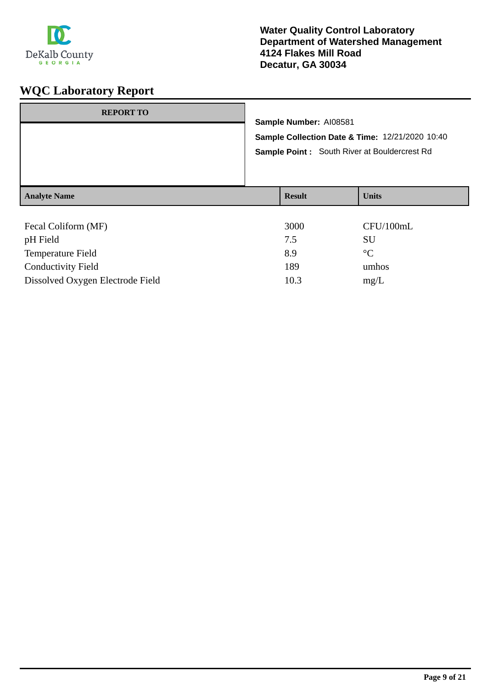

| <b>REPORT TO</b>                |                                                     |                        |                 |
|---------------------------------|-----------------------------------------------------|------------------------|-----------------|
|                                 |                                                     | Sample Number: Al08581 |                 |
|                                 | Sample Collection Date & Time: 12/21/2020 10:40     |                        |                 |
|                                 | <b>Sample Point:</b> South River at Bouldercrest Rd |                        |                 |
| <b>Analyte Name</b>             |                                                     | <b>Result</b>          | <b>Units</b>    |
| Fecal Coliform (MF)<br>pH Field |                                                     | 3000<br>7.5            | CFU/100mL<br>SU |

| <b>PITTICIA</b>                  | $\overline{ }$ . | . <i>.</i>  |
|----------------------------------|------------------|-------------|
| <b>Temperature Field</b>         | 89               | $^{\circ}C$ |
| <b>Conductivity Field</b>        | 189              | umhos       |
| Dissolved Oxygen Electrode Field | 10.3             | mg/L        |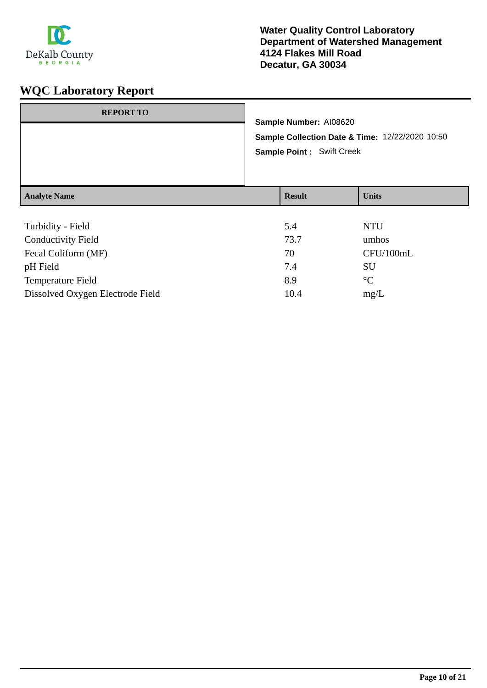

| <b>REPORT TO</b>          | Sample Number: AI08620<br>Sample Collection Date & Time: 12/22/2020 10:50<br><b>Sample Point: Swift Creek</b> |               |              |
|---------------------------|---------------------------------------------------------------------------------------------------------------|---------------|--------------|
| <b>Analyte Name</b>       |                                                                                                               | <b>Result</b> | <b>Units</b> |
|                           |                                                                                                               |               |              |
| Turbidity - Field         |                                                                                                               | 5.4           | <b>NTU</b>   |
| <b>Conductivity Field</b> |                                                                                                               | 73.7          | umhos        |
| Fecal Coliform (MF)       |                                                                                                               | 70            | CFU/100mL    |

| Fecal Coliform (MF)              |      | CFU/100m    |
|----------------------------------|------|-------------|
| pH Field                         | 7.4  | SU          |
| <b>Temperature Field</b>         | 89   | $^{\circ}C$ |
| Dissolved Oxygen Electrode Field | 10.4 | mg/L        |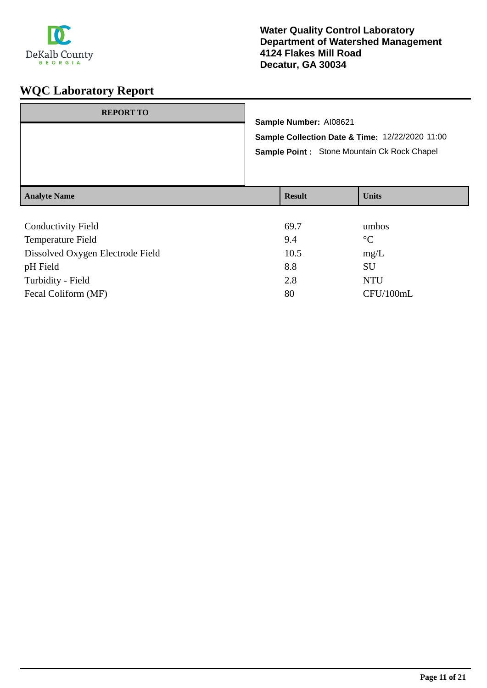

| <b>REPORT TO</b>    | Sample Number: AI08621 | Sample Collection Date & Time: 12/22/2020 11:00<br>Sample Point: Stone Mountain Ck Rock Chapel |
|---------------------|------------------------|------------------------------------------------------------------------------------------------|
| <b>Analyte Name</b> | <b>Result</b>          | <b>Units</b>                                                                                   |
|                     |                        |                                                                                                |

| <b>Conductivity Field</b>        | 69.7 | umhos           |
|----------------------------------|------|-----------------|
| Temperature Field                | 9.4  | $\rm ^{\circ}C$ |
| Dissolved Oxygen Electrode Field | 10.5 | mg/L            |
| pH Field                         | 8.8  | SU              |
| Turbidity - Field                | 2.8  | <b>NTU</b>      |
| Fecal Coliform (MF)              | 80   | CFU/100mL       |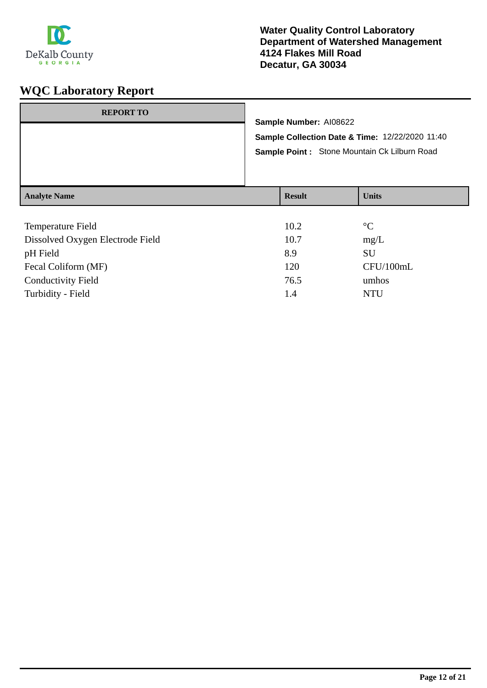

| <b>REPORT TO</b>    | Sample Number: AI08622<br>Sample Collection Date & Time: 12/22/2020 11:40<br>Sample Point : Stone Mountain Ck Lilburn Road |               |              |
|---------------------|----------------------------------------------------------------------------------------------------------------------------|---------------|--------------|
| <b>Analyte Name</b> |                                                                                                                            | <b>Result</b> | <b>Units</b> |
|                     |                                                                                                                            | .             |              |

| Temperature Field                | 10.2 | $\rm ^{\circ}C$ |
|----------------------------------|------|-----------------|
| Dissolved Oxygen Electrode Field | 10.7 | mg/L            |
| pH Field                         | 8.9  | <b>SU</b>       |
| Fecal Coliform (MF)              | 120  | CFU/100mL       |
| <b>Conductivity Field</b>        | 76.5 | umhos           |
| Turbidity - Field                | 1.4  | NTU             |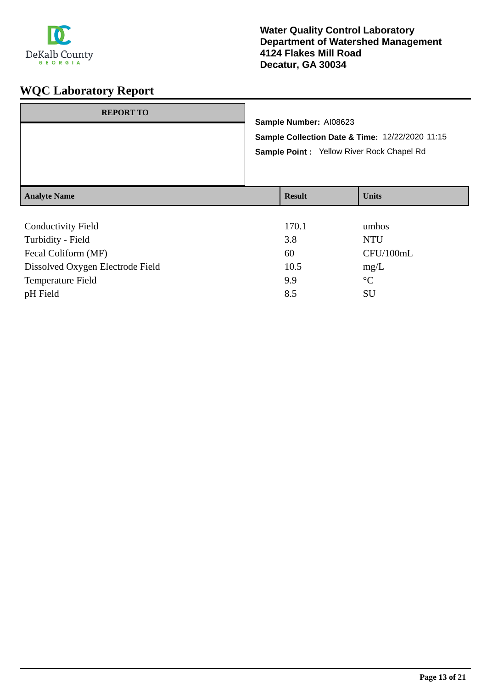

| <b>REPORT TO</b>          | Sample Number: AI08623<br>Sample Collection Date & Time: 12/22/2020 11:15<br>Sample Point: Yellow River Rock Chapel Rd |              |
|---------------------------|------------------------------------------------------------------------------------------------------------------------|--------------|
| <b>Analyte Name</b>       | <b>Result</b>                                                                                                          | <b>Units</b> |
| <b>Conductivity Field</b> | 170.1                                                                                                                  | umhos        |

| CONGRESSION LIGIU                | 1/0.1 | umuvo           |
|----------------------------------|-------|-----------------|
| Turbidity - Field                | 3.8   | <b>NTU</b>      |
| Fecal Coliform (MF)              | 60    | CFU/100mL       |
| Dissolved Oxygen Electrode Field | 10.5  | mg/L            |
| Temperature Field                | 9.9   | $\rm ^{\circ}C$ |
| pH Field                         | 8.5   | SU              |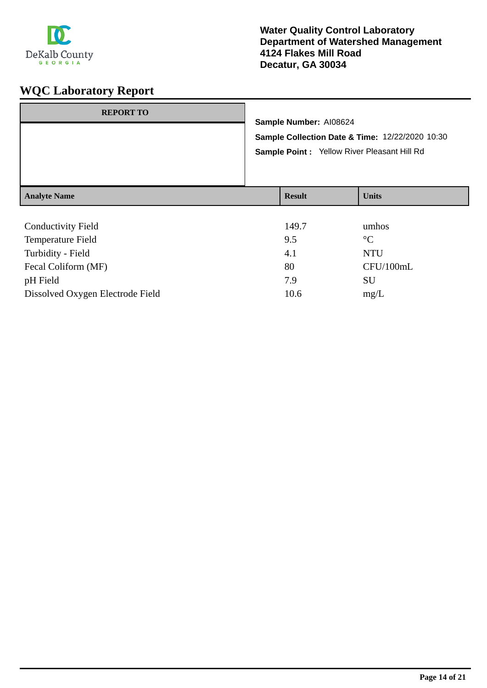

| <b>REPORT TO</b>          |  | Sample Number: AI08624<br>Sample Collection Date & Time: 12/22/2020 10:30<br>Sample Point : Yellow River Pleasant Hill Rd |              |  |
|---------------------------|--|---------------------------------------------------------------------------------------------------------------------------|--------------|--|
|                           |  |                                                                                                                           |              |  |
| <b>Analyte Name</b>       |  | <b>Result</b>                                                                                                             | <b>Units</b> |  |
| <b>Conductivity Field</b> |  | 149.7                                                                                                                     | umhos        |  |

| 9.5  | $\rm ^{\circ}C$ |
|------|-----------------|
| 4.1  | <b>NTU</b>      |
| 80   | CFU/100mL       |
| 7.9  | SU              |
| 10.6 | mg/L            |
|      |                 |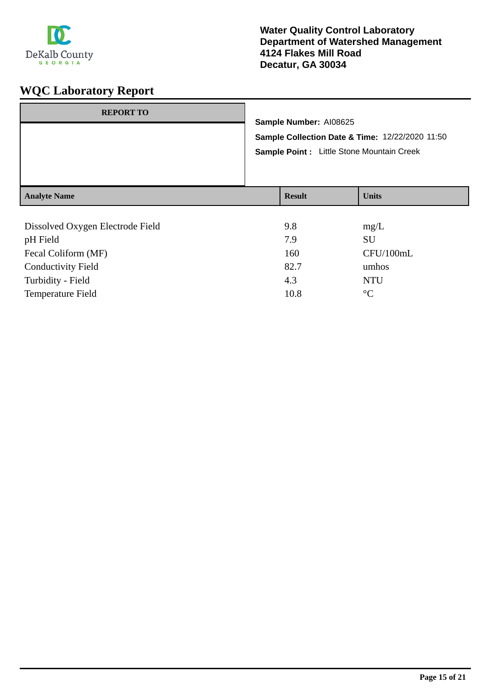

| <b>REPORT TO</b>    | Sample Number: AI08625<br>Sample Collection Date & Time: 12/22/2020 11:50<br>Sample Point : Little Stone Mountain Creek |               |              |
|---------------------|-------------------------------------------------------------------------------------------------------------------------|---------------|--------------|
| <b>Analyte Name</b> |                                                                                                                         | <b>Result</b> | <b>Units</b> |
|                     |                                                                                                                         |               |              |

| Dissolved Oxygen Electrode Field | 9.8  | mg/L            |
|----------------------------------|------|-----------------|
| pH Field                         | 7.9  | <b>SU</b>       |
| Fecal Coliform (MF)              | 160  | CFU/100mL       |
| <b>Conductivity Field</b>        | 82.7 | umhos           |
| Turbidity - Field                | 4.3  | <b>NTU</b>      |
| <b>Temperature Field</b>         | 10.8 | $\rm ^{\circ}C$ |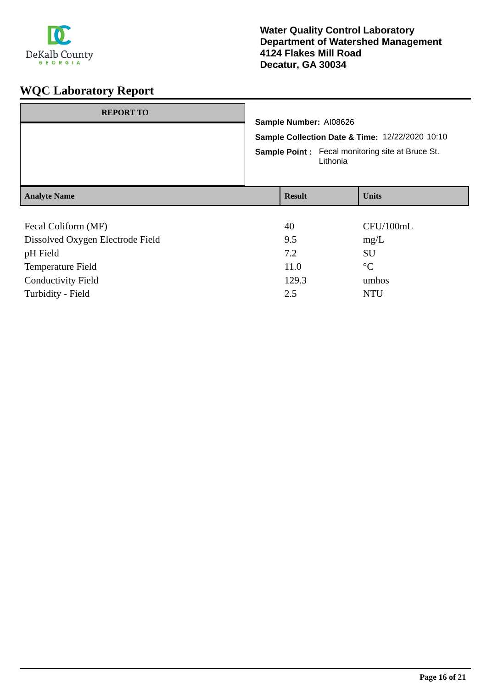

| <b>REPORT TO</b>                 | Sample Number: AI08626<br>Sample Collection Date & Time: 12/22/2020 10:10<br><b>Sample Point:</b> Fecal monitoring site at Bruce St.<br>Lithonia |  |              |
|----------------------------------|--------------------------------------------------------------------------------------------------------------------------------------------------|--|--------------|
| <b>Analyte Name</b>              | <b>Result</b>                                                                                                                                    |  | <b>Units</b> |
|                                  |                                                                                                                                                  |  |              |
| Fecal Coliform (MF)              |                                                                                                                                                  |  |              |
|                                  | 40                                                                                                                                               |  | CFU/100mL    |
| Dissolved Oxygen Electrode Field | 9.5                                                                                                                                              |  | mg/L         |
| pH Field                         | 7.2                                                                                                                                              |  | <b>SU</b>    |

Conductivity Field 129.3 umhos Turbidity - Field 2.5 NTU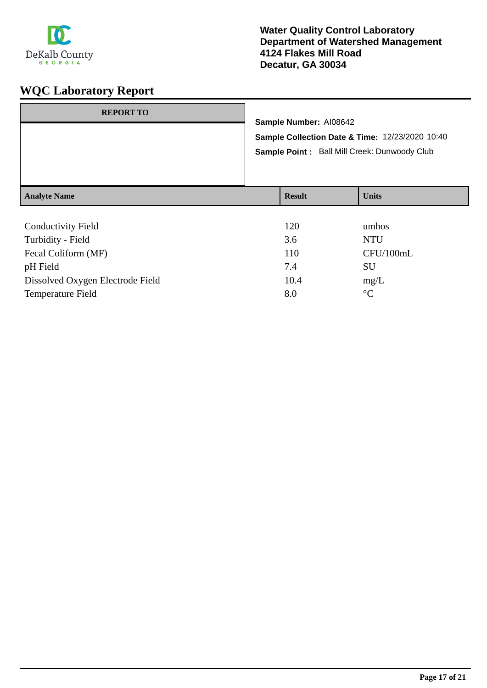

| <b>REPORT TO</b>          | Sample Number: AI08642<br>Sample Collection Date & Time: 12/23/2020 10:40<br>Sample Point: Ball Mill Creek: Dunwoody Club |               |              |
|---------------------------|---------------------------------------------------------------------------------------------------------------------------|---------------|--------------|
| <b>Analyte Name</b>       |                                                                                                                           | <b>Result</b> | <b>Units</b> |
| <b>Conductivity Field</b> |                                                                                                                           | 120           | umhos        |

| Community Liviu                  | ⊥∠∪  | <u>ummos</u> |
|----------------------------------|------|--------------|
| Turbidity - Field                | 3.6  | NTU          |
| Fecal Coliform (MF)              | 110  | CFU/100mL    |
| pH Field                         | 7.4  | SU           |
| Dissolved Oxygen Electrode Field | 10.4 | mg/L         |
| Temperature Field                | 8.0  | $^{\circ}C$  |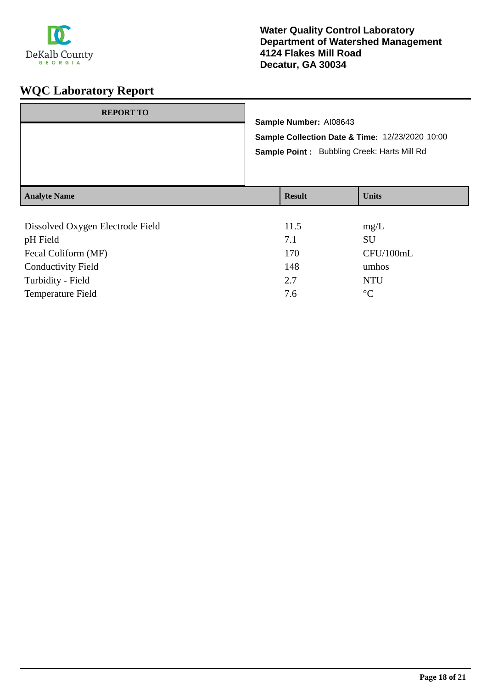

| <b>REPORT TO</b>    | Sample Number: AI08643<br>Sample Collection Date & Time: 12/23/2020 10:00<br>Sample Point: Bubbling Creek: Harts Mill Rd |               |              |
|---------------------|--------------------------------------------------------------------------------------------------------------------------|---------------|--------------|
| <b>Analyte Name</b> |                                                                                                                          | <b>Result</b> | <b>Units</b> |
|                     |                                                                                                                          |               |              |

| 11.5 | mg/L            |
|------|-----------------|
| 7.1  | SU              |
| 170  | CFU/100mL       |
| 148  | umhos           |
| 2.7  | <b>NTU</b>      |
| 7.6  | $\rm ^{\circ}C$ |
|      |                 |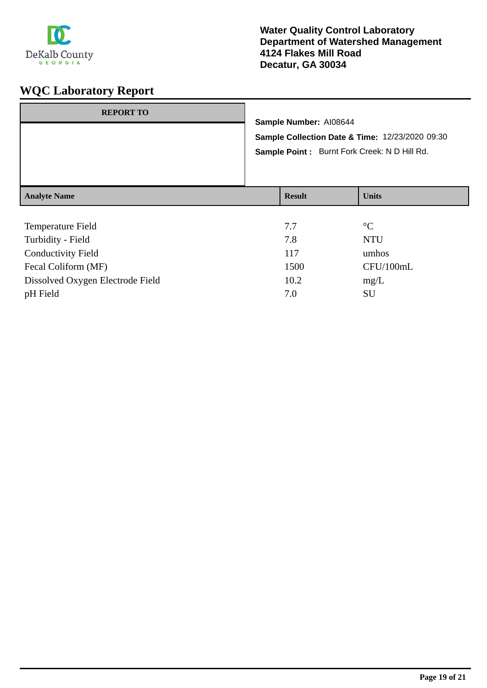

| <b>REPORT TO</b>    | Sample Number: AI08644<br>Sample Collection Date & Time: 12/23/2020 09:30<br>Sample Point: Burnt Fork Creek: N D Hill Rd. |               |              |
|---------------------|---------------------------------------------------------------------------------------------------------------------------|---------------|--------------|
| <b>Analyte Name</b> |                                                                                                                           | <b>Result</b> | <b>Units</b> |
| Temperature Field   |                                                                                                                           |               | $\circ$      |

| <b>Temperature Field</b>         | 7.7  | $\rm ^{\circ}C$ |
|----------------------------------|------|-----------------|
| Turbidity - Field                | 7.8  | <b>NTU</b>      |
| <b>Conductivity Field</b>        | 117  | umhos           |
| Fecal Coliform (MF)              | 1500 | CFU/100mL       |
| Dissolved Oxygen Electrode Field | 10.2 | mg/L            |
| pH Field                         | 7.0  | SU              |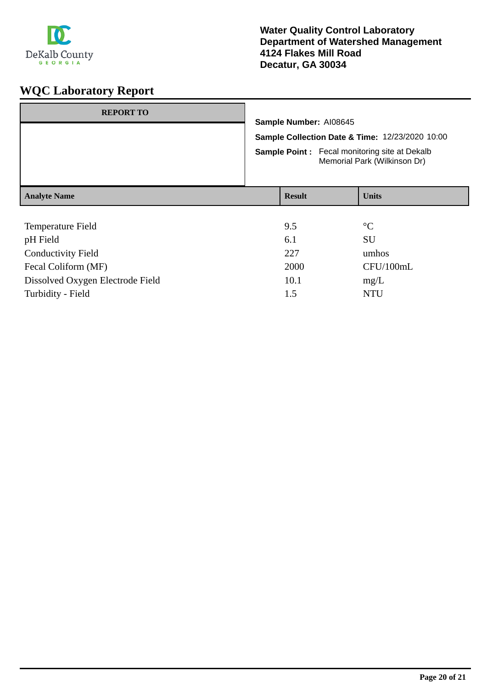

| <b>REPORT TO</b>          |                                                                           |  |                                                                                      |  |
|---------------------------|---------------------------------------------------------------------------|--|--------------------------------------------------------------------------------------|--|
|                           | Sample Number: AI08645<br>Sample Collection Date & Time: 12/23/2020 10:00 |  |                                                                                      |  |
|                           |                                                                           |  |                                                                                      |  |
|                           |                                                                           |  | <b>Sample Point:</b> Fecal monitoring site at Dekalb<br>Memorial Park (Wilkinson Dr) |  |
| <b>Analyte Name</b>       | <b>Result</b>                                                             |  | <b>Units</b>                                                                         |  |
|                           |                                                                           |  |                                                                                      |  |
| Temperature Field         | 9.5                                                                       |  | $\rm ^{\circ}C$                                                                      |  |
| pH Field                  | 6.1                                                                       |  | <b>SU</b>                                                                            |  |
| <b>Conductivity Field</b> | 227                                                                       |  | umhos                                                                                |  |
|                           | $\sim$ $\sim$ $\sim$                                                      |  | $\sim$ $\sim$ $\sim$ $\sim$ $\sim$ $\sim$                                            |  |

| <b>Conductivity Field</b>        | 227  | umhos     |
|----------------------------------|------|-----------|
| Fecal Coliform (MF)              | 2000 | CFU/100mL |
| Dissolved Oxygen Electrode Field | 10.1 | mg/L      |
| Turbidity - Field                | 1.5  | NTH       |